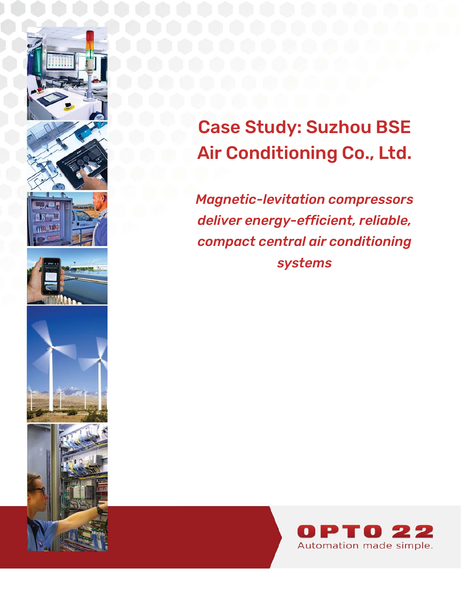

*Magnetic-levitation compressors deliver energy-efficient, reliable, compact central air conditioning systems*

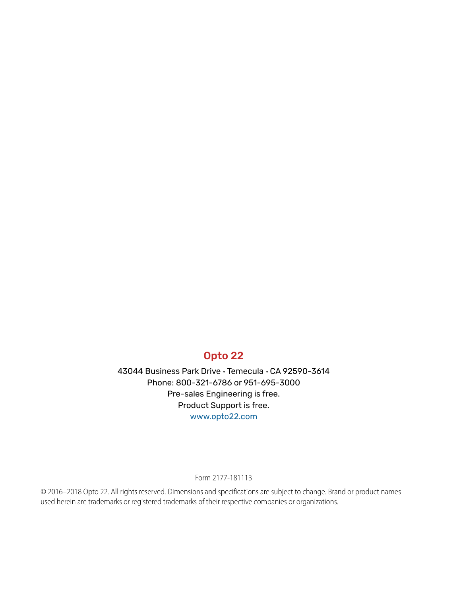# Opto 22

43044 Business Park Drive • Temecula • CA 92590-3614 Phone: 800-321-6786 or 951-695-3000 Pre-sales Engineering is free. Product Support is free. [w](http://www.opto22.com/)ww.opto22.com

Form 2177-181113

© 2016–2018 Opto 22. All rights reserved. Dimensions and specifications are subject to change. Brand or product names used herein are trademarks or registered trademarks of their respective companies or organizations.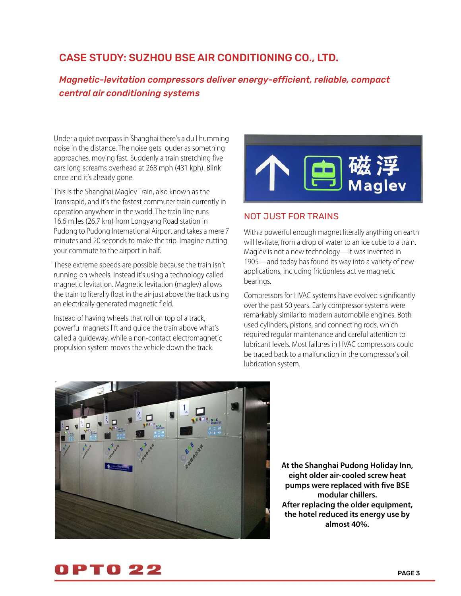# CASE STUDY: SUZHOU BSE AIR CONDITIONING CO., LTD.

# *Magnetic-levitation compressors deliver energy-efficient, reliable, compact central air conditioning systems*

Under a quiet overpass in Shanghai there's a dull humming noise in the distance. The noise gets louder as something approaches, moving fast. Suddenly a train stretching five cars long screams overhead at 268 mph (431 kph). Blink once and it's already gone.

This is the Shanghai Maglev Train, also known as the Transrapid, and it's the fastest commuter train currently in operation anywhere in the world. The train line runs 16.6 miles (26.7 km) from Longyang Road station in Pudong to Pudong International Airport and takes a mere 7 minutes and 20 seconds to make the trip. Imagine cutting your commute to the airport in half.

These extreme speeds are possible because the train isn't running on wheels. Instead it's using a technology called magnetic levitation. Magnetic levitation (maglev) allows the train to literally float in the air just above the track using an electrically generated magnetic field.

Instead of having wheels that roll on top of a track, powerful magnets lift and guide the train above what's called a guideway, while a non-contact electromagnetic propulsion system moves the vehicle down the track.



#### NOT JUST FOR TRAINS

With a powerful enough magnet literally anything on earth will levitate, from a drop of water to an ice cube to a train. Maglev is not a new technology—it was invented in 1905—and today has found its way into a variety of new applications, including frictionless active magnetic bearings.

Compressors for HVAC systems have evolved significantly over the past 50 years. Early compressor systems were remarkably similar to modern automobile engines. Both used cylinders, pistons, and connecting rods, which required regular maintenance and careful attention to lubricant levels. Most failures in HVAC compressors could be traced back to a malfunction in the compressor's oil lubrication system.



**At the Shanghai Pudong Holiday Inn, eight older air-cooled screw heat pumps were replaced with five BSE modular chillers. After replacing the older equipment, the hotel reduced its energy use by almost 40%.**

# DPT0 22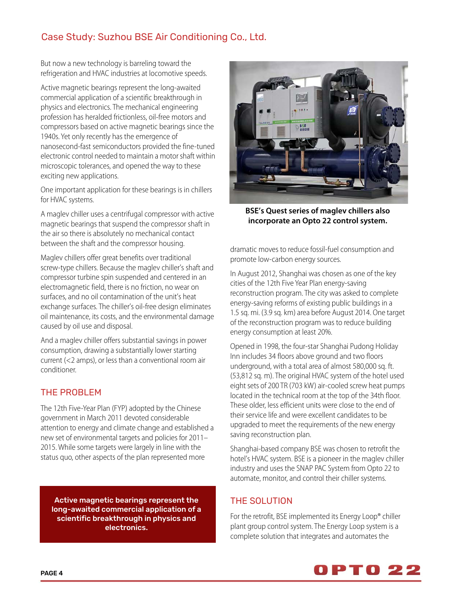But now a new technology is barreling toward the refrigeration and HVAC industries at locomotive speeds.

Active magnetic bearings represent the long-awaited commercial application of a scientific breakthrough in physics and electronics. The mechanical engineering profession has heralded frictionless, oil-free motors and compressors based on active magnetic bearings since the 1940s. Yet only recently has the emergence of nanosecond-fast semiconductors provided the fine-tuned electronic control needed to maintain a motor shaft within microscopic tolerances, and opened the way to these exciting new applications.

One important application for these bearings is in chillers for HVAC systems.

A maglev chiller uses a centrifugal compressor with active magnetic bearings that suspend the compressor shaft in the air so there is absolutely no mechanical contact between the shaft and the compressor housing.

Maglev chillers offer great benefits over traditional screw-type chillers. Because the maglev chiller's shaft and compressor turbine spin suspended and centered in an electromagnetic field, there is no friction, no wear on surfaces, and no oil contamination of the unit's heat exchange surfaces. The chiller's oil-free design eliminates oil maintenance, its costs, and the environmental damage caused by oil use and disposal.

And a maglev chiller offers substantial savings in power consumption, drawing a substantially lower starting current (<2 amps), or less than a conventional room air conditioner.

#### THE PROBLEM

The 12th Five-Year Plan (FYP) adopted by the Chinese government in March 2011 devoted considerable attention to energy and climate change and established a new set of environmental targets and policies for 2011– 2015. While some targets were largely in line with the status quo, other aspects of the plan represented more

Active magnetic bearings represent the long-awaited commercial application of a scientific breakthrough in physics and electronics.



**BSE's Quest series of maglev chillers also incorporate an Opto 22 control system.**

dramatic moves to reduce fossil-fuel consumption and promote low-carbon energy sources.

In August 2012, Shanghai was chosen as one of the key cities of the 12th Five Year Plan energy-saving reconstruction program. The city was asked to complete energy-saving reforms of existing public buildings in a 1.5 sq. mi. (3.9 sq. km) area before August 2014. One target of the reconstruction program was to reduce building energy consumption at least 20%.

Opened in 1998, the four-star Shanghai Pudong Holiday Inn includes 34 floors above ground and two floors underground, with a total area of almost 580,000 sq. ft. (53,812 sq. m). The original HVAC system of the hotel used eight sets of 200 TR (703 kW) air-cooled screw heat pumps located in the technical room at the top of the 34th floor. These older, less efficient units were close to the end of their service life and were excellent candidates to be upgraded to meet the requirements of the new energy saving reconstruction plan.

Shanghai-based company BSE was chosen to retrofit the hotel's HVAC system. BSE is a pioneer in the maglev chiller industry and uses the SNAP PAC System from Opto 22 to automate, monitor, and control their chiller systems.

#### THE SOLUTION

For the retrofit, BSE implemented its Energy Loop® chiller plant group control system. The Energy Loop system is a complete solution that integrates and automates the

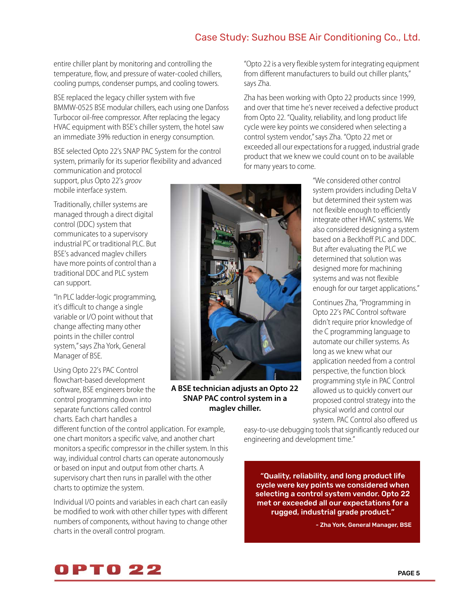entire chiller plant by monitoring and controlling the temperature, flow, and pressure of water-cooled chillers, cooling pumps, condenser pumps, and cooling towers.

BSE replaced the legacy chiller system with five BMMW-0525 BSE modular chillers, each using one Danfoss Turbocor oil-free compressor. After replacing the legacy HVAC equipment with BSE's chiller system, the hotel saw an immediate 39% reduction in energy consumption.

BSE selected Opto 22's SNAP PAC System for the control system, primarily for its superior flexibility and advanced communication and protocol

support, plus Opto 22's *groov* mobile interface system.

Traditionally, chiller systems are managed through a direct digital control (DDC) system that communicates to a supervisory industrial PC or traditional PLC. But BSE's advanced maglev chillers have more points of control than a traditional DDC and PLC system can support.

"In PLC ladder-logic programming, it's difficult to change a single variable or I/O point without that change affecting many other points in the chiller control system," says Zha York, General Manager of BSE.

Using Opto 22's PAC Control flowchart-based development software, BSE engineers broke the control programming down into separate functions called control charts. Each chart handles a

**A BSE technician adjusts an Opto 22 SNAP PAC control system in a maglev chiller.**

"Opto 22 is a very flexible system for integrating equipment from different manufacturers to build out chiller plants," says Zha.

Zha has been working with Opto 22 products since 1999, and over that time he's never received a defective product from Opto 22. "Quality, reliability, and long product life cycle were key points we considered when selecting a control system vendor," says Zha. "Opto 22 met or exceeded all our expectations for a rugged, industrial grade product that we knew we could count on to be available for many years to come.

> "We considered other control system providers including Delta V but determined their system was not flexible enough to efficiently integrate other HVAC systems. We also considered designing a system based on a Beckhoff PLC and DDC. But after evaluating the PLC we determined that solution was designed more for machining systems and was not flexible enough for our target applications."

Continues Zha, "Programming in Opto 22's PAC Control software didn't require prior knowledge of the C programming language to automate our chiller systems. As long as we knew what our application needed from a control perspective, the function block programming style in PAC Control allowed us to quickly convert our proposed control strategy into the physical world and control our system. PAC Control also offered us

different function of the control application. For example, one chart monitors a specific valve, and another chart monitors a specific compressor in the chiller system. In this way, individual control charts can operate autonomously or based on input and output from other charts. A supervisory chart then runs in parallel with the other charts to optimize the system.

Individual I/O points and variables in each chart can easily be modified to work with other chiller types with different numbers of components, without having to change other charts in the overall control program.

easy-to-use debugging tools that significantly reduced our engineering and development time."

"Quality, reliability, and long product life cycle were key points we considered when selecting a control system vendor. Opto 22 met or exceeded all our expectations for a rugged, industrial grade product."

- Zha York, General Manager, BSE

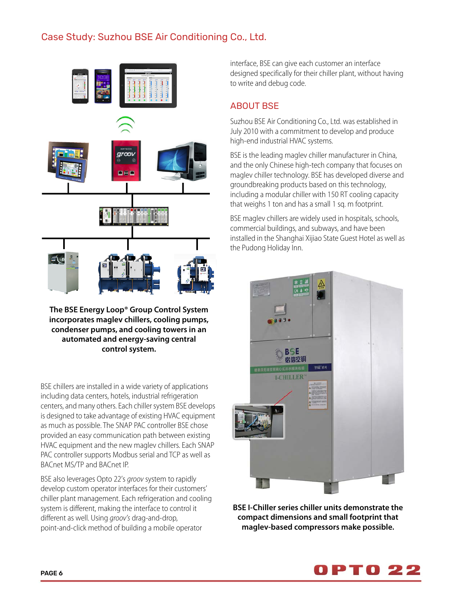

**The BSE Energy Loop® Group Control System incorporates maglev chillers, cooling pumps, condenser pumps, and cooling towers in an automated and energy-saving central control system.**

BSE chillers are installed in a wide variety of applications including data centers, hotels, industrial refrigeration centers, and many others. Each chiller system BSE develops is designed to take advantage of existing HVAC equipment as much as possible. The SNAP PAC controller BSE chose provided an easy communication path between existing HVAC equipment and the new maglev chillers. Each SNAP PAC controller supports Modbus serial and TCP as well as BACnet MS/TP and BACnet IP.

BSE also leverages Opto 22's *groov* system to rapidly develop custom operator interfaces for their customers' chiller plant management. Each refrigeration and cooling system is different, making the interface to control it different as well. Using *groov's* drag-and-drop, point-and-click method of building a mobile operator

interface, BSE can give each customer an interface designed specifically for their chiller plant, without having to write and debug code.

#### ABOUT BSE

Suzhou BSE Air Conditioning Co., Ltd. was established in July 2010 with a commitment to develop and produce high-end industrial HVAC systems.

BSE is the leading maglev chiller manufacturer in China, and the only Chinese high-tech company that focuses on maglev chiller technology. BSE has developed diverse and groundbreaking products based on this technology, including a modular chiller with 150 RT cooling capacity that weighs 1 ton and has a small 1 sq. m footprint.

BSE maglev chillers are widely used in hospitals, schools, commercial buildings, and subways, and have been installed in the Shanghai Xijiao State Guest Hotel as well as the Pudong Holiday Inn.



**BSE I-Chiller series chiller units demonstrate the compact dimensions and small footprint that maglev-based compressors make possible.**